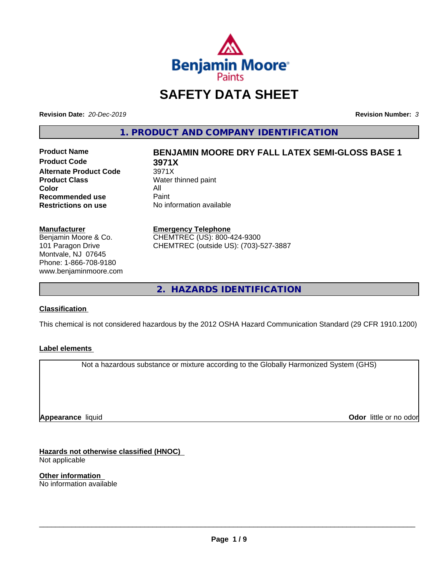

## **SAFETY DATA SHEET**

**Revision Date:** *20-Dec-2019* **Revision Number:** *3*

**1. PRODUCT AND COMPANY IDENTIFICATION**

**Product Code 3971X Alternate Product Code** 3971X<br>**Product Class** Water t **Color** All<br> **Recommended use** Paint **Recommended use**<br>Restrictions on use

# **Product Name BENJAMIN MOORE DRY FALL LATEX SEMI-GLOSS BASE 1**

**Water thinned paint No information available** 

#### **Manufacturer**

Benjamin Moore & Co. 101 Paragon Drive Montvale, NJ 07645 Phone: 1-866-708-9180 www.benjaminmoore.com

#### **Emergency Telephone**

CHEMTREC (US): 800-424-9300 CHEMTREC (outside US): (703)-527-3887

**2. HAZARDS IDENTIFICATION**

#### **Classification**

This chemical is not considered hazardous by the 2012 OSHA Hazard Communication Standard (29 CFR 1910.1200)

#### **Label elements**

Not a hazardous substance or mixture according to the Globally Harmonized System (GHS)

**Appearance** liquid

**Odor** little or no odor

**Hazards not otherwise classified (HNOC)** Not applicable

**Other information** No information available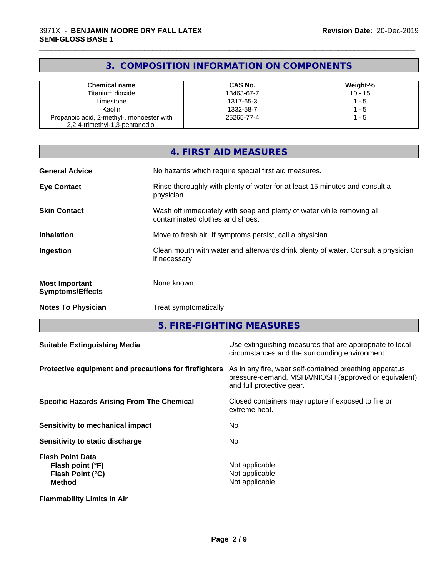## **3. COMPOSITION INFORMATION ON COMPONENTS**

\_\_\_\_\_\_\_\_\_\_\_\_\_\_\_\_\_\_\_\_\_\_\_\_\_\_\_\_\_\_\_\_\_\_\_\_\_\_\_\_\_\_\_\_\_\_\_\_\_\_\_\_\_\_\_\_\_\_\_\_\_\_\_\_\_\_\_\_\_\_\_\_\_\_\_\_\_\_\_\_\_\_\_\_\_\_\_\_\_\_\_\_\_

| <b>Chemical name</b>                      | CAS No.    | Weight-%  |
|-------------------------------------------|------------|-----------|
| Titanium dioxide                          | 13463-67-7 | $10 - 15$ |
| Limestone                                 | 1317-65-3  | - 5       |
| Kaolin                                    | 1332-58-7  | - 5       |
| Propanoic acid, 2-methyl-, monoester with | 25265-77-4 | - 5       |
| 2,2,4-trimethyl-1,3-pentanediol           |            |           |

|                                                  | 4. FIRST AID MEASURES                                                                                    |
|--------------------------------------------------|----------------------------------------------------------------------------------------------------------|
| <b>General Advice</b>                            | No hazards which require special first aid measures.                                                     |
| <b>Eye Contact</b>                               | Rinse thoroughly with plenty of water for at least 15 minutes and consult a<br>physician.                |
| <b>Skin Contact</b>                              | Wash off immediately with soap and plenty of water while removing all<br>contaminated clothes and shoes. |
| <b>Inhalation</b>                                | Move to fresh air. If symptoms persist, call a physician.                                                |
| Ingestion                                        | Clean mouth with water and afterwards drink plenty of water. Consult a physician<br>if necessary.        |
| <b>Most Important</b><br><b>Symptoms/Effects</b> | None known.                                                                                              |
| <b>Notes To Physician</b>                        | Treat symptomatically.                                                                                   |

**5. FIRE-FIGHTING MEASURES**

| <b>Suitable Extinguishing Media</b>                                              | Use extinguishing measures that are appropriate to local<br>circumstances and the surrounding environment.                                   |
|----------------------------------------------------------------------------------|----------------------------------------------------------------------------------------------------------------------------------------------|
| Protective equipment and precautions for firefighters                            | As in any fire, wear self-contained breathing apparatus<br>pressure-demand, MSHA/NIOSH (approved or equivalent)<br>and full protective gear. |
| <b>Specific Hazards Arising From The Chemical</b>                                | Closed containers may rupture if exposed to fire or<br>extreme heat.                                                                         |
| <b>Sensitivity to mechanical impact</b>                                          | No.                                                                                                                                          |
| Sensitivity to static discharge                                                  | No.                                                                                                                                          |
| <b>Flash Point Data</b><br>Flash point (°F)<br>Flash Point (°C)<br><b>Method</b> | Not applicable<br>Not applicable<br>Not applicable                                                                                           |
| <b>Flammability Limits In Air</b>                                                |                                                                                                                                              |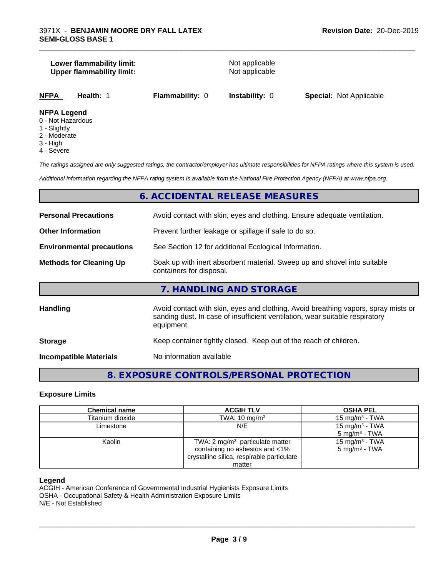#### **Lower flammability limit:**<br> **Upper flammability limit:**<br>
Upper flammability limit:<br>
Not applicable **Upper flammability limit:**

\_\_\_\_\_\_\_\_\_\_\_\_\_\_\_\_\_\_\_\_\_\_\_\_\_\_\_\_\_\_\_\_\_\_\_\_\_\_\_\_\_\_\_\_\_\_\_\_\_\_\_\_\_\_\_\_\_\_\_\_\_\_\_\_\_\_\_\_\_\_\_\_\_\_\_\_\_\_\_\_\_\_\_\_\_\_\_\_\_\_\_\_\_

|--|

#### **NFPA Legend**

- 0 Not Hazardous
- 1 Slightly
- 2 Moderate
- 3 High
- 4 Severe

*The ratings assigned are only suggested ratings, the contractor/employer has ultimate responsibilities for NFPA ratings where this system is used.*

*Additional information regarding the NFPA rating system is available from the National Fire Protection Agency (NFPA) at www.nfpa.org.*

### **6. ACCIDENTAL RELEASE MEASURES**

| <b>Personal Precautions</b>      | Avoid contact with skin, eyes and clothing. Ensure adequate ventilation.                                                                                                         |
|----------------------------------|----------------------------------------------------------------------------------------------------------------------------------------------------------------------------------|
| <b>Other Information</b>         | Prevent further leakage or spillage if safe to do so.                                                                                                                            |
| <b>Environmental precautions</b> | See Section 12 for additional Ecological Information.                                                                                                                            |
| <b>Methods for Cleaning Up</b>   | Soak up with inert absorbent material. Sweep up and shovel into suitable<br>containers for disposal.                                                                             |
|                                  | 7. HANDLING AND STORAGE                                                                                                                                                          |
| Handling                         | Avoid contact with skin, eyes and clothing. Avoid breathing vapors, spray mists or<br>sanding dust. In case of insufficient ventilation, wear suitable respiratory<br>equipment. |
| <b>Storage</b>                   | Keep container tightly closed. Keep out of the reach of children.                                                                                                                |
| <b>Incompatible Materials</b>    | No information available                                                                                                                                                         |

## **8. EXPOSURE CONTROLS/PERSONAL PROTECTION**

#### **Exposure Limits**

| <b>Chemical name</b> | <b>ACGIH TLV</b>                           | <b>OSHA PEL</b>            |
|----------------------|--------------------------------------------|----------------------------|
| Titanium dioxide     | TWA: $10 \text{ mg/m}^3$                   | 15 mg/m $3$ - TWA          |
| Limestone            | N/E                                        | 15 mg/m <sup>3</sup> - TWA |
|                      |                                            | $5 \text{ mg/m}^3$ - TWA   |
| Kaolin               | TWA: $2 \text{ mg/m}^3$ particulate matter | 15 mg/m <sup>3</sup> - TWA |
|                      | containing no asbestos and <1%             | $5 \text{ mg/m}^3$ - TWA   |
|                      | crystalline silica, respirable particulate |                            |
|                      | matter                                     |                            |

#### **Legend**

ACGIH - American Conference of Governmental Industrial Hygienists Exposure Limits OSHA - Occupational Safety & Health Administration Exposure Limits N/E - Not Established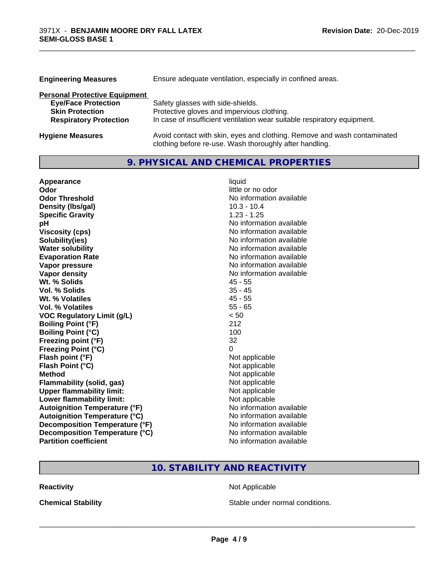| <b>Engineering Measures</b>          | Ensure adequate ventilation, especially in confined areas.               |
|--------------------------------------|--------------------------------------------------------------------------|
| <b>Personal Protective Equipment</b> |                                                                          |
| <b>Eye/Face Protection</b>           | Safety glasses with side-shields.                                        |
| <b>Skin Protection</b>               | Protective gloves and impervious clothing.                               |
| <b>Respiratory Protection</b>        | In case of insufficient ventilation wear suitable respiratory equipment. |
| <b>Hygiene Measures</b>              | Avoid contact with skin, eyes and clothing. Remove and wash contaminated |

clothing before re-use. Wash thoroughly after handling.

\_\_\_\_\_\_\_\_\_\_\_\_\_\_\_\_\_\_\_\_\_\_\_\_\_\_\_\_\_\_\_\_\_\_\_\_\_\_\_\_\_\_\_\_\_\_\_\_\_\_\_\_\_\_\_\_\_\_\_\_\_\_\_\_\_\_\_\_\_\_\_\_\_\_\_\_\_\_\_\_\_\_\_\_\_\_\_\_\_\_\_\_\_

## **9. PHYSICAL AND CHEMICAL PROPERTIES**

| Appearance                           | liquid                   |
|--------------------------------------|--------------------------|
| Odor                                 | little or no odor        |
| <b>Odor Threshold</b>                | No information available |
| Density (Ibs/gal)                    | $10.3 - 10.4$            |
| <b>Specific Gravity</b>              | $1.23 - 1.25$            |
| pH                                   | No information available |
| <b>Viscosity (cps)</b>               | No information available |
| Solubility(ies)                      | No information available |
| <b>Water solubility</b>              | No information available |
| <b>Evaporation Rate</b>              | No information available |
| Vapor pressure                       | No information available |
| <b>Vapor density</b>                 | No information available |
| Wt. % Solids                         | $45 - 55$                |
| Vol. % Solids                        | $35 - 45$                |
| Wt. % Volatiles                      | $45 - 55$                |
| Vol. % Volatiles                     | $55 - 65$                |
| <b>VOC Regulatory Limit (g/L)</b>    | < 50                     |
| <b>Boiling Point (°F)</b>            | 212                      |
| <b>Boiling Point (°C)</b>            | 100                      |
| Freezing point (°F)                  | 32                       |
| <b>Freezing Point (°C)</b>           | 0                        |
| Flash point (°F)                     | Not applicable           |
| Flash Point (°C)                     | Not applicable           |
| <b>Method</b>                        | Not applicable           |
| <b>Flammability (solid, gas)</b>     | Not applicable           |
| <b>Upper flammability limit:</b>     | Not applicable           |
| Lower flammability limit:            | Not applicable           |
| <b>Autoignition Temperature (°F)</b> | No information available |
| <b>Autoignition Temperature (°C)</b> | No information available |
| Decomposition Temperature (°F)       | No information available |
| Decomposition Temperature (°C)       | No information available |
| <b>Partition coefficient</b>         | No information available |

## **10. STABILITY AND REACTIVITY**

**Reactivity Not Applicable** Not Applicable

**Chemical Stability Chemical Stability** Stable under normal conditions.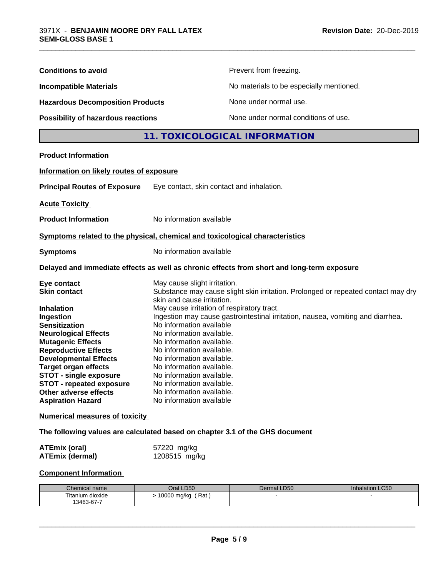| <b>Conditions to avoid</b>                                                                                                                                                                                                                                                                                                                                                                                                                                                                                                                                | Prevent from freezing.                                                                                                                                                                                                                                                                                                                                                                                                                   |                                                                                                                                                                      |                 |  |
|-----------------------------------------------------------------------------------------------------------------------------------------------------------------------------------------------------------------------------------------------------------------------------------------------------------------------------------------------------------------------------------------------------------------------------------------------------------------------------------------------------------------------------------------------------------|------------------------------------------------------------------------------------------------------------------------------------------------------------------------------------------------------------------------------------------------------------------------------------------------------------------------------------------------------------------------------------------------------------------------------------------|----------------------------------------------------------------------------------------------------------------------------------------------------------------------|-----------------|--|
| <b>Incompatible Materials</b>                                                                                                                                                                                                                                                                                                                                                                                                                                                                                                                             | No materials to be especially mentioned.                                                                                                                                                                                                                                                                                                                                                                                                 |                                                                                                                                                                      |                 |  |
| <b>Hazardous Decomposition Products</b><br>Possibility of hazardous reactions                                                                                                                                                                                                                                                                                                                                                                                                                                                                             |                                                                                                                                                                                                                                                                                                                                                                                                                                          | None under normal use.                                                                                                                                               |                 |  |
|                                                                                                                                                                                                                                                                                                                                                                                                                                                                                                                                                           |                                                                                                                                                                                                                                                                                                                                                                                                                                          | None under normal conditions of use.                                                                                                                                 |                 |  |
|                                                                                                                                                                                                                                                                                                                                                                                                                                                                                                                                                           |                                                                                                                                                                                                                                                                                                                                                                                                                                          | 11. TOXICOLOGICAL INFORMATION                                                                                                                                        |                 |  |
| <b>Product Information</b>                                                                                                                                                                                                                                                                                                                                                                                                                                                                                                                                |                                                                                                                                                                                                                                                                                                                                                                                                                                          |                                                                                                                                                                      |                 |  |
| Information on likely routes of exposure                                                                                                                                                                                                                                                                                                                                                                                                                                                                                                                  |                                                                                                                                                                                                                                                                                                                                                                                                                                          |                                                                                                                                                                      |                 |  |
| <b>Principal Routes of Exposure</b>                                                                                                                                                                                                                                                                                                                                                                                                                                                                                                                       | Eye contact, skin contact and inhalation.                                                                                                                                                                                                                                                                                                                                                                                                |                                                                                                                                                                      |                 |  |
| <b>Acute Toxicity</b>                                                                                                                                                                                                                                                                                                                                                                                                                                                                                                                                     |                                                                                                                                                                                                                                                                                                                                                                                                                                          |                                                                                                                                                                      |                 |  |
| <b>Product Information</b>                                                                                                                                                                                                                                                                                                                                                                                                                                                                                                                                | No information available                                                                                                                                                                                                                                                                                                                                                                                                                 |                                                                                                                                                                      |                 |  |
| Symptoms related to the physical, chemical and toxicological characteristics                                                                                                                                                                                                                                                                                                                                                                                                                                                                              |                                                                                                                                                                                                                                                                                                                                                                                                                                          |                                                                                                                                                                      |                 |  |
| <b>Symptoms</b>                                                                                                                                                                                                                                                                                                                                                                                                                                                                                                                                           | No information available                                                                                                                                                                                                                                                                                                                                                                                                                 |                                                                                                                                                                      |                 |  |
| Delayed and immediate effects as well as chronic effects from short and long-term exposure                                                                                                                                                                                                                                                                                                                                                                                                                                                                |                                                                                                                                                                                                                                                                                                                                                                                                                                          |                                                                                                                                                                      |                 |  |
| Eye contact<br><b>Skin contact</b><br><b>Inhalation</b><br>Ingestion<br><b>Sensitization</b><br><b>Neurological Effects</b><br><b>Mutagenic Effects</b><br><b>Reproductive Effects</b><br><b>Developmental Effects</b><br><b>Target organ effects</b><br><b>STOT - single exposure</b><br><b>STOT - repeated exposure</b><br>Other adverse effects<br><b>Aspiration Hazard</b><br><b>Numerical measures of toxicity</b><br>The following values are calculated based on chapter 3.1 of the GHS document<br><b>ATEmix (oral)</b><br><b>ATEmix (dermal)</b> | May cause slight irritation.<br>skin and cause irritation.<br>May cause irritation of respiratory tract.<br>No information available<br>No information available.<br>No information available.<br>No information available.<br>No information available.<br>No information available.<br>No information available.<br>No information available.<br>No information available.<br>No information available<br>57220 mg/kg<br>1208515 mg/kg | Substance may cause slight skin irritation. Prolonged or repeated contact may dry<br>Ingestion may cause gastrointestinal irritation, nausea, vomiting and diarrhea. |                 |  |
| <b>Component Information</b>                                                                                                                                                                                                                                                                                                                                                                                                                                                                                                                              |                                                                                                                                                                                                                                                                                                                                                                                                                                          |                                                                                                                                                                      |                 |  |
|                                                                                                                                                                                                                                                                                                                                                                                                                                                                                                                                                           |                                                                                                                                                                                                                                                                                                                                                                                                                                          |                                                                                                                                                                      |                 |  |
| Chemical name<br>Titanium dioxide                                                                                                                                                                                                                                                                                                                                                                                                                                                                                                                         | Oral LD50<br>> 10000 mg/kg (Rat)                                                                                                                                                                                                                                                                                                                                                                                                         | Dermal LD50                                                                                                                                                          | Inhalation LC50 |  |
| 13463-67-7                                                                                                                                                                                                                                                                                                                                                                                                                                                                                                                                                |                                                                                                                                                                                                                                                                                                                                                                                                                                          |                                                                                                                                                                      |                 |  |

\_\_\_\_\_\_\_\_\_\_\_\_\_\_\_\_\_\_\_\_\_\_\_\_\_\_\_\_\_\_\_\_\_\_\_\_\_\_\_\_\_\_\_\_\_\_\_\_\_\_\_\_\_\_\_\_\_\_\_\_\_\_\_\_\_\_\_\_\_\_\_\_\_\_\_\_\_\_\_\_\_\_\_\_\_\_\_\_\_\_\_\_\_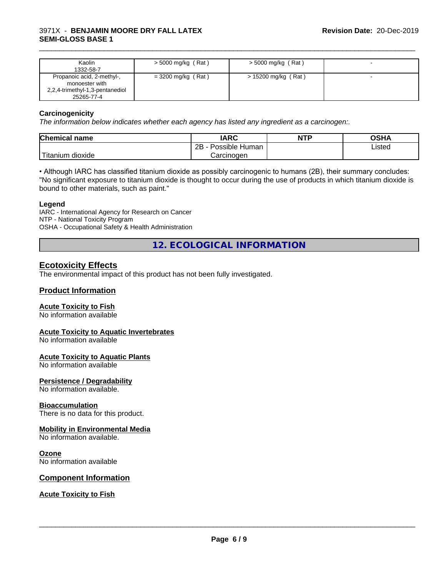#### 3971X - **BENJAMIN MOORE DRY FALL LATEX SEMI-GLOSS BASE 1**

| Kaolin<br>1332-58-7                                                                           | $>$ 5000 mg/kg (Rat) | $>$ 5000 mg/kg (Rat) |  |
|-----------------------------------------------------------------------------------------------|----------------------|----------------------|--|
| Propanoic acid, 2-methyl-,<br>monoester with<br>2,2,4-trimethyl-1,3-pentanediol<br>25265-77-4 | $=$ 3200 mg/kg (Rat) | > 15200 mg/kg (Rat)  |  |

\_\_\_\_\_\_\_\_\_\_\_\_\_\_\_\_\_\_\_\_\_\_\_\_\_\_\_\_\_\_\_\_\_\_\_\_\_\_\_\_\_\_\_\_\_\_\_\_\_\_\_\_\_\_\_\_\_\_\_\_\_\_\_\_\_\_\_\_\_\_\_\_\_\_\_\_\_\_\_\_\_\_\_\_\_\_\_\_\_\_\_\_\_

#### **Carcinogenicity**

*The information below indicateswhether each agency has listed any ingredient as a carcinogen:.*

| Chemical<br>name                   | <b>IARC</b>                    | <b>NTP</b> | <b>OCU</b><br>∪אח |
|------------------------------------|--------------------------------|------------|-------------------|
|                                    | . .<br>2B<br>Human<br>Possible |            | ∟isted<br>.       |
| .<br><br>dioxide<br><b>itanium</b> | Carcinogen                     |            |                   |

• Although IARC has classified titanium dioxide as possibly carcinogenic to humans (2B), their summary concludes: "No significant exposure to titanium dioxide is thought to occur during the use of products in which titanium dioxide is bound to other materials, such as paint."

#### **Legend**

IARC - International Agency for Research on Cancer NTP - National Toxicity Program OSHA - Occupational Safety & Health Administration

**12. ECOLOGICAL INFORMATION**

#### **Ecotoxicity Effects**

The environmental impact of this product has not been fully investigated.

#### **Product Information**

#### **Acute Toxicity to Fish**

No information available

#### **Acute Toxicity to Aquatic Invertebrates**

No information available

#### **Acute Toxicity to Aquatic Plants**

No information available

#### **Persistence / Degradability**

No information available.

#### **Bioaccumulation**

There is no data for this product.

#### **Mobility in Environmental Media**

No information available.

#### **Ozone**

No information available

#### **Component Information**

**Acute Toxicity to Fish**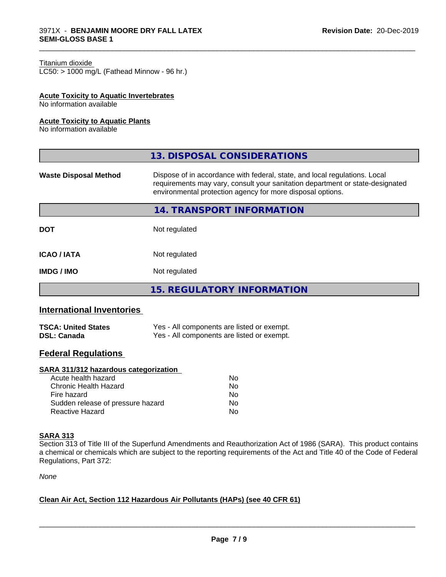#### Titanium dioxide

 $LC50:$  > 1000 mg/L (Fathead Minnow - 96 hr.)

#### **Acute Toxicity to Aquatic Invertebrates**

No information available

#### **Acute Toxicity to Aquatic Plants**

No information available

|                              | 13. DISPOSAL CONSIDERATIONS                                                                                                                                                                                               |
|------------------------------|---------------------------------------------------------------------------------------------------------------------------------------------------------------------------------------------------------------------------|
| <b>Waste Disposal Method</b> | Dispose of in accordance with federal, state, and local regulations. Local<br>requirements may vary, consult your sanitation department or state-designated<br>environmental protection agency for more disposal options. |
|                              | 14. TRANSPORT INFORMATION                                                                                                                                                                                                 |
| <b>DOT</b>                   | Not regulated                                                                                                                                                                                                             |
| <b>ICAO / IATA</b>           | Not regulated                                                                                                                                                                                                             |
| <b>IMDG/IMO</b>              | Not regulated                                                                                                                                                                                                             |
|                              | <b>15. REGULATORY INFORMATION</b>                                                                                                                                                                                         |
|                              |                                                                                                                                                                                                                           |

\_\_\_\_\_\_\_\_\_\_\_\_\_\_\_\_\_\_\_\_\_\_\_\_\_\_\_\_\_\_\_\_\_\_\_\_\_\_\_\_\_\_\_\_\_\_\_\_\_\_\_\_\_\_\_\_\_\_\_\_\_\_\_\_\_\_\_\_\_\_\_\_\_\_\_\_\_\_\_\_\_\_\_\_\_\_\_\_\_\_\_\_\_

## **International Inventories**

| <b>TSCA: United States</b> | Yes - All components are listed or exempt. |
|----------------------------|--------------------------------------------|
| <b>DSL: Canada</b>         | Yes - All components are listed or exempt. |

## **Federal Regulations**

#### **SARA 311/312 hazardous categorization**

| Acute health hazard               | Nο |
|-----------------------------------|----|
| Chronic Health Hazard             | Nο |
| Fire hazard                       | N٥ |
| Sudden release of pressure hazard | Nο |
| Reactive Hazard                   | Nο |

#### **SARA 313**

Section 313 of Title III of the Superfund Amendments and Reauthorization Act of 1986 (SARA). This product contains a chemical or chemicals which are subject to the reporting requirements of the Act and Title 40 of the Code of Federal Regulations, Part 372:

*None*

#### **Clean Air Act,Section 112 Hazardous Air Pollutants (HAPs) (see 40 CFR 61)**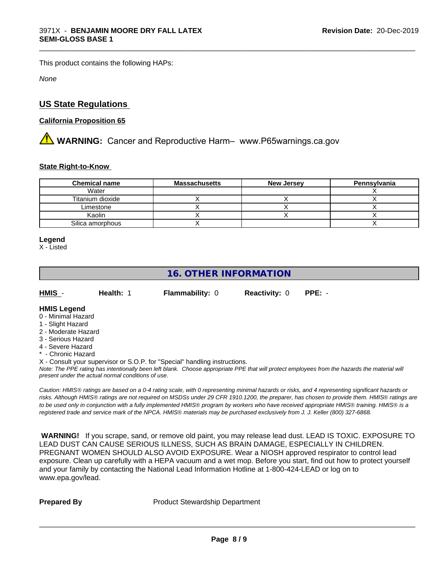This product contains the following HAPs:

*None*

## **US State Regulations**

#### **California Proposition 65**

**A** WARNING: Cancer and Reproductive Harm– www.P65warnings.ca.gov

#### **State Right-to-Know**

| <b>Chemical name</b> | <b>Massachusetts</b> | <b>New Jersey</b> | Pennsylvania |
|----------------------|----------------------|-------------------|--------------|
| Water                |                      |                   |              |
| Titanium dioxide     |                      |                   |              |
| Limestone            |                      |                   |              |
| Kaolin               |                      |                   |              |
| Silica amorphous     |                      |                   |              |

\_\_\_\_\_\_\_\_\_\_\_\_\_\_\_\_\_\_\_\_\_\_\_\_\_\_\_\_\_\_\_\_\_\_\_\_\_\_\_\_\_\_\_\_\_\_\_\_\_\_\_\_\_\_\_\_\_\_\_\_\_\_\_\_\_\_\_\_\_\_\_\_\_\_\_\_\_\_\_\_\_\_\_\_\_\_\_\_\_\_\_\_\_

#### **Legend**

X - Listed

## **16. OTHER INFORMATION**

| HMIS                | <b>Health:</b> 1 | <b>Flammability: 0</b> | <b>Reactivity: 0</b> | $PPE: -$ |
|---------------------|------------------|------------------------|----------------------|----------|
| <b>LIMIC Logand</b> |                  |                        |                      |          |

#### **HMIS Legend** 0 - Minimal Hazard

- 1 Slight Hazard
- 2 Moderate Hazard
- 3 Serious Hazard
- 4 Severe Hazard
- **Chronic Hazard**

X - Consult your supervisor or S.O.P. for "Special" handling instructions.

*Note: The PPE rating has intentionally been left blank. Choose appropriate PPE that will protect employees from the hazards the material will present under the actual normal conditions of use.*

*Caution: HMISÒ ratings are based on a 0-4 rating scale, with 0 representing minimal hazards or risks, and 4 representing significant hazards or risks. Although HMISÒ ratings are not required on MSDSs under 29 CFR 1910.1200, the preparer, has chosen to provide them. HMISÒ ratings are to be used only in conjunction with a fully implemented HMISÒ program by workers who have received appropriate HMISÒ training. HMISÒ is a registered trade and service mark of the NPCA. HMISÒ materials may be purchased exclusively from J. J. Keller (800) 327-6868.*

 **WARNING!** If you scrape, sand, or remove old paint, you may release lead dust. LEAD IS TOXIC. EXPOSURE TO LEAD DUST CAN CAUSE SERIOUS ILLNESS, SUCH AS BRAIN DAMAGE, ESPECIALLY IN CHILDREN. PREGNANT WOMEN SHOULD ALSO AVOID EXPOSURE.Wear a NIOSH approved respirator to control lead exposure. Clean up carefully with a HEPA vacuum and a wet mop. Before you start, find out how to protect yourself and your family by contacting the National Lead Information Hotline at 1-800-424-LEAD or log on to www.epa.gov/lead.

**Prepared By** Product Stewardship Department